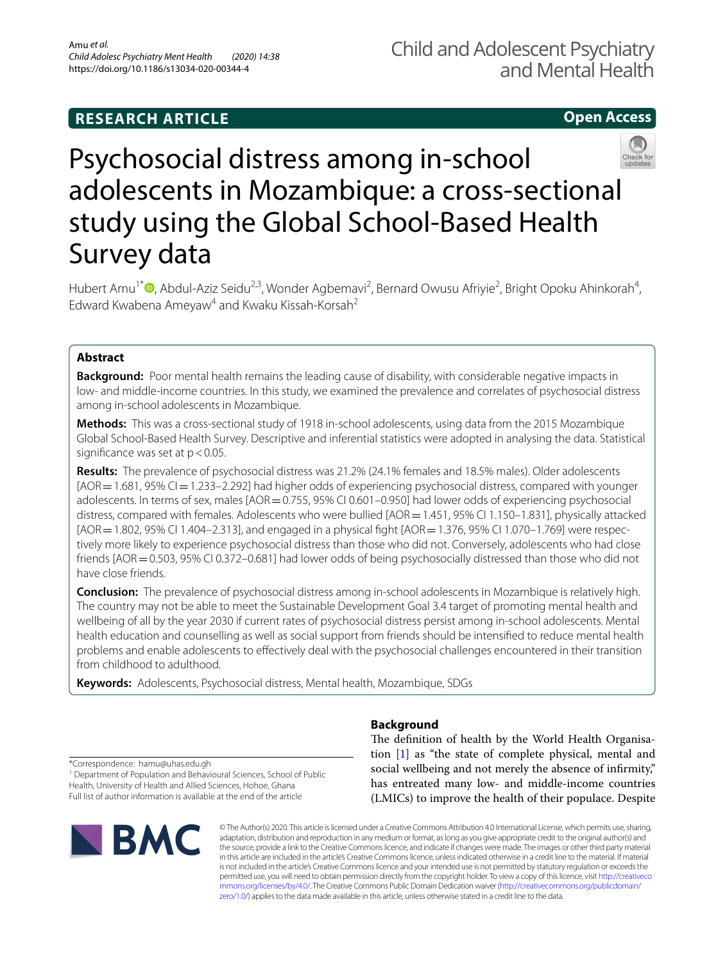# **RESEARCH ARTICLE**

# **Open Access**



# Psychosocial distress among in-school adolescents in Mozambique: a cross-sectional study using the Global School-Based Health Survey data

Hubert Amu<sup>1\*</sup><sup>®</sup>[,](http://orcid.org/0000-0003-0218-3843) Abdul-Aziz Seidu<sup>2,3</sup>, Wonder Agbemavi<sup>2</sup>, Bernard Owusu Afriyie<sup>2</sup>, Bright Opoku Ahinkorah<sup>4</sup>, Edward Kwabena Ameyaw<sup>4</sup> and Kwaku Kissah-Korsah<sup>2</sup>

# **Abstract**

**Background:** Poor mental health remains the leading cause of disability, with considerable negative impacts in low- and middle-income countries. In this study, we examined the prevalence and correlates of psychosocial distress among in-school adolescents in Mozambique.

**Methods:** This was a cross-sectional study of 1918 in-school adolescents, using data from the 2015 Mozambique Global School-Based Health Survey. Descriptive and inferential statistics were adopted in analysing the data. Statistical significance was set at  $p < 0.05$ .

**Results:** The prevalence of psychosocial distress was 21.2% (24.1% females and 18.5% males). Older adolescents [AOR = 1.681, 95% CI = 1.233–2.292] had higher odds of experiencing psychosocial distress, compared with younger adolescents. In terms of sex, males [AOR = 0.755, 95% CI 0.601-0.950] had lower odds of experiencing psychosocial distress, compared with females. Adolescents who were bullied [AOR = 1.451, 95% CI 1.150-1.831], physically attacked [AOR = 1.802, 95% CI 1.404-2.313], and engaged in a physical fight [AOR = 1.376, 95% CI 1.070-1.769] were respectively more likely to experience psychosocial distress than those who did not. Conversely, adolescents who had close friends [AOR = 0.503, 95% CI 0.372-0.681] had lower odds of being psychosocially distressed than those who did not have close friends.

**Conclusion:** The prevalence of psychosocial distress among in-school adolescents in Mozambique is relatively high. The country may not be able to meet the Sustainable Development Goal 3.4 target of promoting mental health and wellbeing of all by the year 2030 if current rates of psychosocial distress persist among in-school adolescents. Mental health education and counselling as well as social support from friends should be intensifed to reduce mental health problems and enable adolescents to efectively deal with the psychosocial challenges encountered in their transition from childhood to adulthood.

**Keywords:** Adolescents, Psychosocial distress, Mental health, Mozambique, SDGs

**Background**

\*Correspondence: hamu@uhas.edu.gh

<sup>1</sup> Department of Population and Behavioural Sciences, School of Public Health, University of Health and Allied Sciences, Hohoe, Ghana Full list of author information is available at the end of the article



The definition of health by the World Health Organisation [[1](#page-7-0)] as "the state of complete physical, mental and social wellbeing and not merely the absence of infrmity," has entreated many low- and middle-income countries (LMICs) to improve the health of their populace. Despite

© The Author(s) 2020. This article is licensed under a Creative Commons Attribution 4.0 International License, which permits use, sharing, adaptation, distribution and reproduction in any medium or format, as long as you give appropriate credit to the original author(s) and the source, provide a link to the Creative Commons licence, and indicate if changes were made. The images or other third party material in this article are included in the article's Creative Commons licence, unless indicated otherwise in a credit line to the material. If material is not included in the article's Creative Commons licence and your intended use is not permitted by statutory regulation or exceeds the permitted use, you will need to obtain permission directly from the copyright holder. To view a copy of this licence, visit [http://creativeco](http://creativecommons.org/licenses/by/4.0/) [mmons.org/licenses/by/4.0/.](http://creativecommons.org/licenses/by/4.0/) The Creative Commons Public Domain Dedication waiver ([http://creativecommons.org/publicdomain/](http://creativecommons.org/publicdomain/zero/1.0/) [zero/1.0/\)](http://creativecommons.org/publicdomain/zero/1.0/) applies to the data made available in this article, unless otherwise stated in a credit line to the data.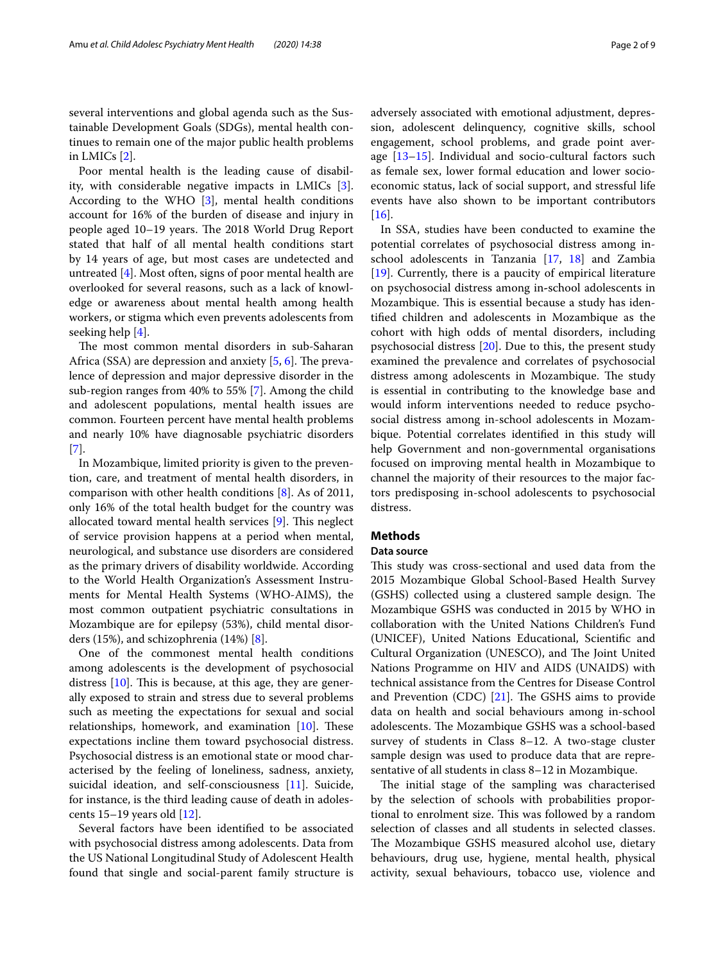several interventions and global agenda such as the Sustainable Development Goals (SDGs), mental health continues to remain one of the major public health problems in LMICs [\[2](#page-7-1)].

Poor mental health is the leading cause of disability, with considerable negative impacts in LMICs [\[3](#page-7-2)]. According to the WHO [[3](#page-7-2)], mental health conditions account for 16% of the burden of disease and injury in people aged 10–19 years. The 2018 World Drug Report stated that half of all mental health conditions start by 14 years of age, but most cases are undetected and untreated [[4\]](#page-7-3). Most often, signs of poor mental health are overlooked for several reasons, such as a lack of knowledge or awareness about mental health among health workers, or stigma which even prevents adolescents from seeking help [[4\]](#page-7-3).

The most common mental disorders in sub-Saharan Africa (SSA) are depression and anxiety  $[5, 6]$  $[5, 6]$  $[5, 6]$ . The prevalence of depression and major depressive disorder in the sub-region ranges from 40% to 55% [\[7](#page-7-6)]. Among the child and adolescent populations, mental health issues are common. Fourteen percent have mental health problems and nearly 10% have diagnosable psychiatric disorders [[7\]](#page-7-6).

In Mozambique, limited priority is given to the prevention, care, and treatment of mental health disorders, in comparison with other health conditions [\[8\]](#page-7-7). As of 2011, only 16% of the total health budget for the country was allocated toward mental health services  $[9]$ . This neglect of service provision happens at a period when mental, neurological, and substance use disorders are considered as the primary drivers of disability worldwide. According to the World Health Organization's Assessment Instruments for Mental Health Systems (WHO-AIMS), the most common outpatient psychiatric consultations in Mozambique are for epilepsy (53%), child mental disorders (15%), and schizophrenia (14%) [[8](#page-7-7)].

One of the commonest mental health conditions among adolescents is the development of psychosocial distress  $[10]$  $[10]$ . This is because, at this age, they are generally exposed to strain and stress due to several problems such as meeting the expectations for sexual and social relationships, homework, and examination  $[10]$  $[10]$ . These expectations incline them toward psychosocial distress. Psychosocial distress is an emotional state or mood characterised by the feeling of loneliness, sadness, anxiety, suicidal ideation, and self-consciousness [\[11\]](#page-7-10). Suicide, for instance, is the third leading cause of death in adolescents 15–19 years old [\[12\]](#page-7-11).

Several factors have been identifed to be associated with psychosocial distress among adolescents. Data from the US National Longitudinal Study of Adolescent Health found that single and social-parent family structure is adversely associated with emotional adjustment, depression, adolescent delinquency, cognitive skills, school engagement, school problems, and grade point average  $[13-15]$  $[13-15]$  $[13-15]$ . Individual and socio-cultural factors such as female sex, lower formal education and lower socioeconomic status, lack of social support, and stressful life events have also shown to be important contributors  $[16]$  $[16]$ .

In SSA, studies have been conducted to examine the potential correlates of psychosocial distress among inschool adolescents in Tanzania [[17,](#page-7-15) [18](#page-7-16)] and Zambia [[19\]](#page-7-17). Currently, there is a paucity of empirical literature on psychosocial distress among in**-**school adolescents in Mozambique. This is essential because a study has identifed children and adolescents in Mozambique as the cohort with high odds of mental disorders, including psychosocial distress [[20\]](#page-7-18). Due to this, the present study examined the prevalence and correlates of psychosocial distress among adolescents in Mozambique. The study is essential in contributing to the knowledge base and would inform interventions needed to reduce psychosocial distress among in-school adolescents in Mozambique. Potential correlates identifed in this study will help Government and non-governmental organisations focused on improving mental health in Mozambique to channel the majority of their resources to the major factors predisposing in-school adolescents to psychosocial distress.

# **Methods**

## **Data source**

This study was cross-sectional and used data from the 2015 Mozambique Global School-Based Health Survey (GSHS) collected using a clustered sample design. The Mozambique GSHS was conducted in 2015 by WHO in collaboration with the United Nations Children's Fund (UNICEF), United Nations Educational, Scientifc and Cultural Organization (UNESCO), and The Joint United Nations Programme on HIV and AIDS (UNAIDS) with technical assistance from the Centres for Disease Control and Prevention (CDC)  $[21]$  $[21]$ . The GSHS aims to provide data on health and social behaviours among in-school adolescents. The Mozambique GSHS was a school-based survey of students in Class 8–12. A two-stage cluster sample design was used to produce data that are representative of all students in class 8–12 in Mozambique.

The initial stage of the sampling was characterised by the selection of schools with probabilities proportional to enrolment size. This was followed by a random selection of classes and all students in selected classes. The Mozambique GSHS measured alcohol use, dietary behaviours, drug use, hygiene, mental health, physical activity, sexual behaviours, tobacco use, violence and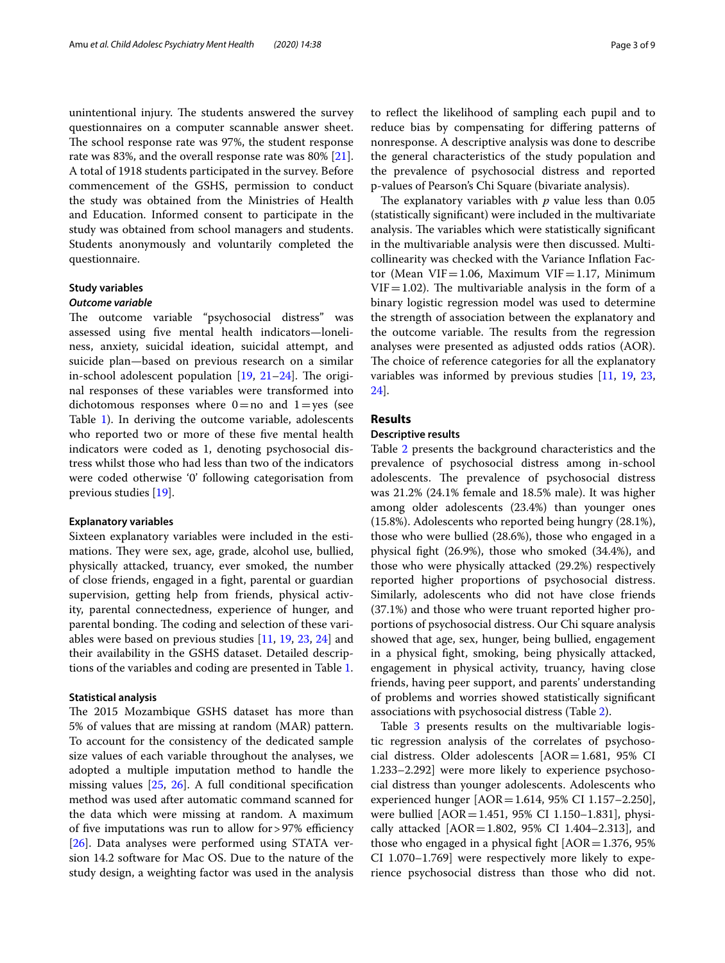unintentional injury. The students answered the survey questionnaires on a computer scannable answer sheet. The school response rate was 97%, the student response rate was 83%, and the overall response rate was 80% [\[21](#page-7-19)]. A total of 1918 students participated in the survey. Before commencement of the GSHS, permission to conduct the study was obtained from the Ministries of Health and Education. Informed consent to participate in the study was obtained from school managers and students. Students anonymously and voluntarily completed the questionnaire.

## **Study variables**

## *Outcome variable*

The outcome variable "psychosocial distress" was assessed using fve mental health indicators—loneliness, anxiety, suicidal ideation, suicidal attempt, and suicide plan—based on previous research on a similar in-school adolescent population  $[19, 21-24]$  $[19, 21-24]$  $[19, 21-24]$  $[19, 21-24]$  $[19, 21-24]$ . The original responses of these variables were transformed into dichotomous responses where  $0=$  no and  $1=$ yes (see Table [1\)](#page-3-0). In deriving the outcome variable, adolescents who reported two or more of these five mental health indicators were coded as 1, denoting psychosocial distress whilst those who had less than two of the indicators were coded otherwise '0' following categorisation from previous studies [\[19](#page-7-17)].

#### **Explanatory variables**

Sixteen explanatory variables were included in the estimations. They were sex, age, grade, alcohol use, bullied, physically attacked, truancy, ever smoked, the number of close friends, engaged in a fght, parental or guardian supervision, getting help from friends, physical activity, parental connectedness, experience of hunger, and parental bonding. The coding and selection of these variables were based on previous studies [[11,](#page-7-10) [19](#page-7-17), [23](#page-7-21), [24](#page-7-20)] and their availability in the GSHS dataset. Detailed descriptions of the variables and coding are presented in Table [1](#page-3-0).

#### **Statistical analysis**

The 2015 Mozambique GSHS dataset has more than 5% of values that are missing at random (MAR) pattern. To account for the consistency of the dedicated sample size values of each variable throughout the analyses, we adopted a multiple imputation method to handle the missing values [[25](#page-7-22), [26](#page-7-23)]. A full conditional specifcation method was used after automatic command scanned for the data which were missing at random. A maximum of five imputations was run to allow for >  $97%$  efficiency [[26\]](#page-7-23). Data analyses were performed using STATA version 14.2 software for Mac OS. Due to the nature of the study design, a weighting factor was used in the analysis to refect the likelihood of sampling each pupil and to reduce bias by compensating for difering patterns of nonresponse. A descriptive analysis was done to describe the general characteristics of the study population and the prevalence of psychosocial distress and reported p-values of Pearson's Chi Square (bivariate analysis).

The explanatory variables with  $p$  value less than  $0.05$ (statistically signifcant) were included in the multivariate analysis. The variables which were statistically significant in the multivariable analysis were then discussed. Multicollinearity was checked with the Variance Infation Factor (Mean VIF=1.06, Maximum VIF=1.17, Minimum  $VIF = 1.02$ ). The multivariable analysis in the form of a binary logistic regression model was used to determine the strength of association between the explanatory and the outcome variable. The results from the regression analyses were presented as adjusted odds ratios (AOR). The choice of reference categories for all the explanatory variables was informed by previous studies [\[11](#page-7-10), [19](#page-7-17), [23](#page-7-21), [24\]](#page-7-20).

# **Results**

## **Descriptive results**

Table [2](#page-4-0) presents the background characteristics and the prevalence of psychosocial distress among in-school adolescents. The prevalence of psychosocial distress was 21.2% (24.1% female and 18.5% male). It was higher among older adolescents (23.4%) than younger ones (15.8%). Adolescents who reported being hungry (28.1%), those who were bullied (28.6%), those who engaged in a physical fght (26.9%), those who smoked (34.4%), and those who were physically attacked (29.2%) respectively reported higher proportions of psychosocial distress. Similarly, adolescents who did not have close friends (37.1%) and those who were truant reported higher proportions of psychosocial distress. Our Chi square analysis showed that age, sex, hunger, being bullied, engagement in a physical fght, smoking, being physically attacked, engagement in physical activity, truancy, having close friends, having peer support, and parents' understanding of problems and worries showed statistically signifcant associations with psychosocial distress (Table [2](#page-4-0)).

Table [3](#page-5-0) presents results on the multivariable logistic regression analysis of the correlates of psychosocial distress. Older adolescents  $[AOR=1.681, 95%$  CI 1.233–2.292] were more likely to experience psychosocial distress than younger adolescents. Adolescents who experienced hunger [AOR=1.614, 95% CI 1.157–2.250], were bullied [AOR=1.451, 95% CI 1.150–1.831], physically attacked [AOR=1.802, 95% CI 1.404–2.313], and those who engaged in a physical fight  $[AOR=1.376, 95\%]$ CI 1.070–1.769] were respectively more likely to experience psychosocial distress than those who did not.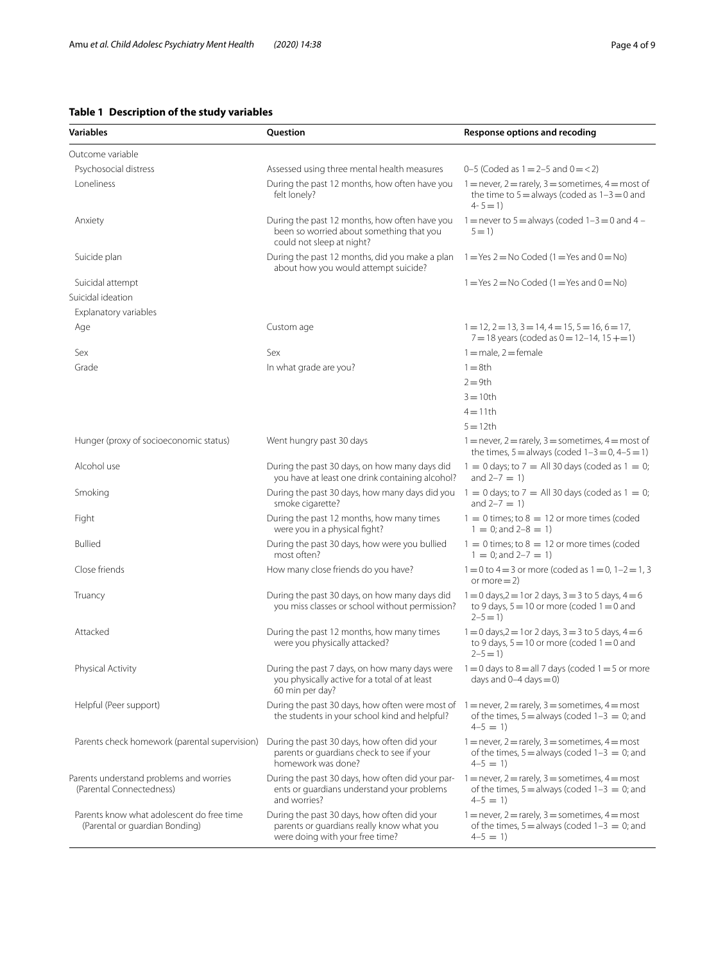# <span id="page-3-0"></span>**Table 1 Description of the study variables**

| <b>Variables</b>                                                            | Question                                                                                                                    | Response options and recoding                                                                                                  |
|-----------------------------------------------------------------------------|-----------------------------------------------------------------------------------------------------------------------------|--------------------------------------------------------------------------------------------------------------------------------|
| Outcome variable                                                            |                                                                                                                             |                                                                                                                                |
| Psychosocial distress                                                       | Assessed using three mental health measures                                                                                 | 0-5 (Coded as $1 = 2-5$ and $0 = 2$ )                                                                                          |
| Loneliness                                                                  | During the past 12 months, how often have you<br>felt lonely?                                                               | $1 =$ never, $2 =$ rarely, $3 =$ sometimes, $4 =$ most of<br>the time to $5 =$ always (coded as $1 - 3 = 0$ and<br>$4 - 5 = 1$ |
| Anxiety                                                                     | During the past 12 months, how often have you<br>been so worried about something that you<br>could not sleep at night?      | 1 = never to 5 = always (coded $1-3 = 0$ and $4 -$<br>$5 = 1$                                                                  |
| Suicide plan                                                                | During the past 12 months, did you make a plan<br>about how you would attempt suicide?                                      | $1 = Yes$ 2 = No Coded (1 = Yes and 0 = No)                                                                                    |
| Suicidal attempt                                                            |                                                                                                                             | $1 = Yes$ 2 = No Coded (1 = Yes and 0 = No)                                                                                    |
| Suicidal ideation                                                           |                                                                                                                             |                                                                                                                                |
| Explanatory variables                                                       |                                                                                                                             |                                                                                                                                |
| Age                                                                         | Custom age                                                                                                                  | $1 = 12$ , $2 = 13$ , $3 = 14$ , $4 = 15$ , $5 = 16$ , $6 = 17$ ,<br>$7 = 18$ years (coded as $0 = 12 - 14$ , $15 += 1$ )      |
| Sex                                                                         | Sex                                                                                                                         | $1 =$ male, $2 =$ female                                                                                                       |
| Grade                                                                       | In what grade are you?                                                                                                      | $1 = 8$ th                                                                                                                     |
|                                                                             |                                                                                                                             | $2 = 9th$                                                                                                                      |
|                                                                             |                                                                                                                             | $3 = 10$ th                                                                                                                    |
|                                                                             |                                                                                                                             | $4 = 11$ th                                                                                                                    |
|                                                                             |                                                                                                                             | $5 = 12th$                                                                                                                     |
| Hunger (proxy of socioeconomic status)                                      | Went hungry past 30 days                                                                                                    | $1 =$ never, $2 =$ rarely, $3 =$ sometimes, $4 =$ most of<br>the times, $5 =$ always (coded $1 - 3 = 0$ , $4 - 5 = 1$ )        |
| Alcohol use                                                                 | During the past 30 days, on how many days did<br>you have at least one drink containing alcohol?                            | $1 = 0$ days; to $7 =$ All 30 days (coded as $1 = 0$ ;<br>and $2 - 7 = 1$                                                      |
| Smoking                                                                     | During the past 30 days, how many days did you<br>smoke cigarette?                                                          | $1 = 0$ days; to $7 =$ All 30 days (coded as $1 = 0$ ;<br>and $2 - 7 = 1$ )                                                    |
| Fight                                                                       | During the past 12 months, how many times<br>were you in a physical fight?                                                  | $1 = 0$ times; to $8 = 12$ or more times (coded<br>$1 = 0$ ; and $2-8 = 1$ )                                                   |
| <b>Bullied</b>                                                              | During the past 30 days, how were you bullied<br>most often?                                                                | $1 = 0$ times; to $8 = 12$ or more times (coded<br>$1 = 0$ ; and $2-7 = 1$ )                                                   |
| Close friends                                                               | How many close friends do you have?                                                                                         | $1 = 0$ to $4 = 3$ or more (coded as $1 = 0$ , $1 - 2 = 1$ , 3<br>or more $= 2$ )                                              |
| Truancy                                                                     | During the past 30 days, on how many days did<br>you miss classes or school without permission?                             | $1 = 0$ days, $2 = 1$ or 2 days, $3 = 3$ to 5 days, $4 = 6$<br>to 9 days, $5 = 10$ or more (coded $1 = 0$ and<br>$2 - 5 = 1$   |
| Attacked                                                                    | During the past 12 months, how many times<br>were you physically attacked?                                                  | $1 = 0$ days, $2 = 1$ or 2 days, $3 = 3$ to 5 days, $4 = 6$<br>to 9 days, $5 = 10$ or more (coded $1 = 0$ and<br>$2 - 5 = 1$   |
| Physical Activity                                                           | During the past 7 days, on how many days were<br>you physically active for a total of at least<br>60 min per day?           | $1 = 0$ days to $8 =$ all 7 days (coded $1 = 5$ or more<br>days and $0-4$ days $= 0$ )                                         |
| Helpful (Peer support)                                                      | During the past 30 days, how often were most of<br>the students in your school kind and helpful?                            | $1 =$ never, $2 =$ rarely, $3 =$ sometimes, $4 =$ most<br>of the times, $5 =$ always (coded $1-3 = 0$ ; and<br>$4-5 = 1$       |
| Parents check homework (parental supervision)                               | During the past 30 days, how often did your<br>parents or quardians check to see if your<br>homework was done?              | $1 =$ never, $2 =$ rarely, $3 =$ sometimes, $4 =$ most<br>of the times, $5 =$ always (coded $1-3 = 0$ ; and<br>$4-5 = 1$       |
| Parents understand problems and worries<br>(Parental Connectedness)         | During the past 30 days, how often did your par-<br>ents or guardians understand your problems<br>and worries?              | $1 =$ never, $2 =$ rarely, $3 =$ sometimes, $4 =$ most<br>of the times, $5 =$ always (coded $1-3 = 0$ ; and<br>$4-5 = 1$       |
| Parents know what adolescent do free time<br>(Parental or guardian Bonding) | During the past 30 days, how often did your<br>parents or guardians really know what you<br>were doing with your free time? | $1 =$ never, $2 =$ rarely, $3 =$ sometimes, $4 =$ most<br>of the times, $5 =$ always (coded $1-3 = 0$ ; and<br>$4-5 = 1$       |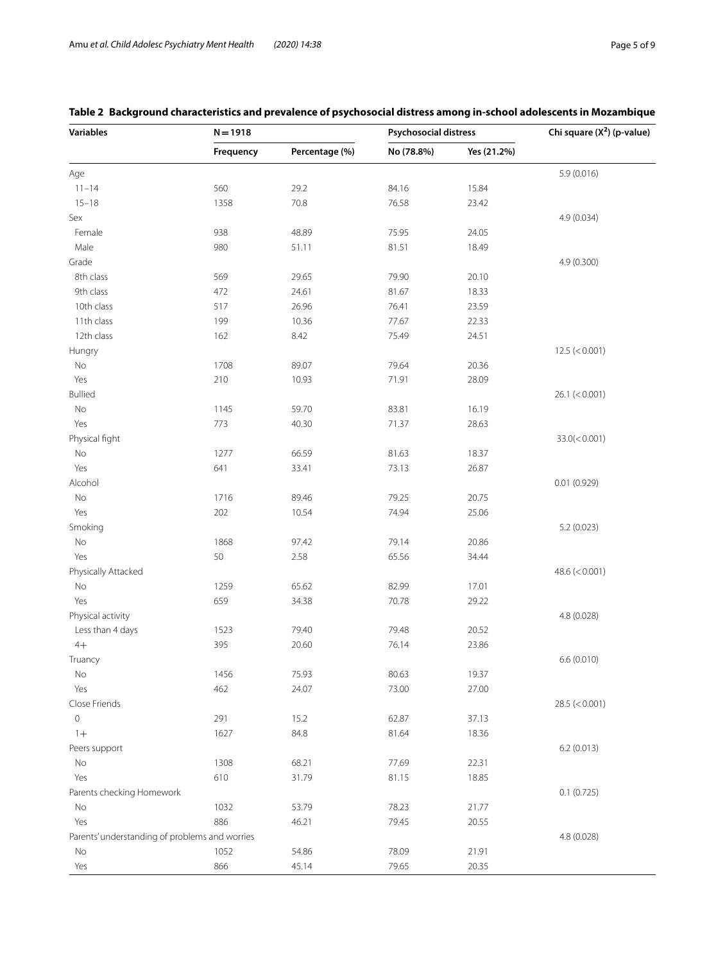# <span id="page-4-0"></span>**Table 2 Background characteristics and prevalence of psychosocial distress among in-school adolescents in Mozambique**

| <b>Variables</b>                               | $N = 1918$ |                | <b>Psychosocial distress</b> |             | Chi square $(X^2)$ (p-value) |
|------------------------------------------------|------------|----------------|------------------------------|-------------|------------------------------|
|                                                | Frequency  | Percentage (%) | No (78.8%)                   | Yes (21.2%) |                              |
| Age                                            |            |                |                              |             | 5.9(0.016)                   |
| $11 - 14$                                      | 560        | 29.2           | 84.16                        | 15.84       |                              |
| $15 - 18$                                      | 1358       | 70.8           | 76.58                        | 23.42       |                              |
| Sex                                            |            |                |                              |             | 4.9 (0.034)                  |
| Female                                         | 938        | 48.89          | 75.95                        | 24.05       |                              |
| Male                                           | 980        | 51.11          | 81.51                        | 18.49       |                              |
| Grade                                          |            |                |                              |             | 4.9 (0.300)                  |
| 8th class                                      | 569        | 29.65          | 79.90                        | 20.10       |                              |
| 9th class                                      | 472        | 24.61          | 81.67                        | 18.33       |                              |
| 10th class                                     | 517        | 26.96          | 76.41                        | 23.59       |                              |
| 11th class                                     | 199        | 10.36          | 77.67                        | 22.33       |                              |
| 12th class                                     | 162        | 8.42           | 75.49                        | 24.51       |                              |
| Hungry                                         |            |                |                              |             | 12.5 (< 0.001)               |
| No                                             | 1708       | 89.07          | 79.64                        | 20.36       |                              |
| Yes                                            | 210        | 10.93          | 71.91                        | 28.09       |                              |
| <b>Bullied</b>                                 |            |                |                              |             | 26.1 (< 0.001)               |
| No                                             | 1145       | 59.70          | 83.81                        | 16.19       |                              |
| Yes                                            | 773        | 40.30          | 71.37                        | 28.63       |                              |
| Physical fight                                 |            |                |                              |             | 33.0(< 0.001)                |
|                                                | 1277       | 66.59          | 81.63                        | 18.37       |                              |
| No<br>Yes                                      | 641        | 33.41          | 73.13                        | 26.87       |                              |
|                                                |            |                |                              |             |                              |
| Alcohol                                        |            |                |                              |             | 0.01(0.929)                  |
| No                                             | 1716       | 89.46          | 79.25                        | 20.75       |                              |
| Yes                                            | 202        | 10.54          | 74.94                        | 25.06       |                              |
| Smoking                                        |            |                |                              |             | 5.2 (0.023)                  |
| No                                             | 1868       | 97.42          | 79.14                        | 20.86       |                              |
| Yes                                            | 50         | 2.58           | 65.56                        | 34.44       |                              |
| Physically Attacked                            |            |                |                              |             | 48.6 $(< 0.001)$             |
| No                                             | 1259       | 65.62          | 82.99                        | 17.01       |                              |
| Yes                                            | 659        | 34.38          | 70.78                        | 29.22       |                              |
| Physical activity                              |            |                |                              |             | 4.8 (0.028)                  |
| Less than 4 days                               | 1523       | 79.40          | 79.48                        | 20.52       |                              |
| $4+$                                           | 395        | 20.60          | 76.14                        | 23.86       |                              |
| Truancy                                        |            |                |                              |             | 6.6(0.010)                   |
| $\rm No$                                       | 1456       | 75.93          | 80.63                        | 19.37       |                              |
| Yes                                            | 462        | 24.07          | 73.00                        | 27.00       |                              |
| Close Friends                                  |            |                |                              |             | 28.5 (< 0.001)               |
| $\mathsf{O}\xspace$                            | 291        | 15.2           | 62.87                        | 37.13       |                              |
| $1+$                                           | 1627       | 84.8           | 81.64                        | 18.36       |                              |
| Peers support                                  |            |                |                              |             | 6.2(0.013)                   |
| No                                             | 1308       | 68.21          | 77.69                        | 22.31       |                              |
| Yes                                            | 610        | 31.79          | 81.15                        | 18.85       |                              |
| Parents checking Homework                      |            |                |                              |             | 0.1(0.725)                   |
| No                                             | 1032       | 53.79          | 78.23                        | 21.77       |                              |
| Yes                                            | 886        | 46.21          | 79.45                        | 20.55       |                              |
| Parents' understanding of problems and worries |            |                |                              |             | 4.8 (0.028)                  |
| No                                             | 1052       | 54.86          | 78.09                        | 21.91       |                              |
| Yes                                            | 866        | 45.14          | 79.65                        | 20.35       |                              |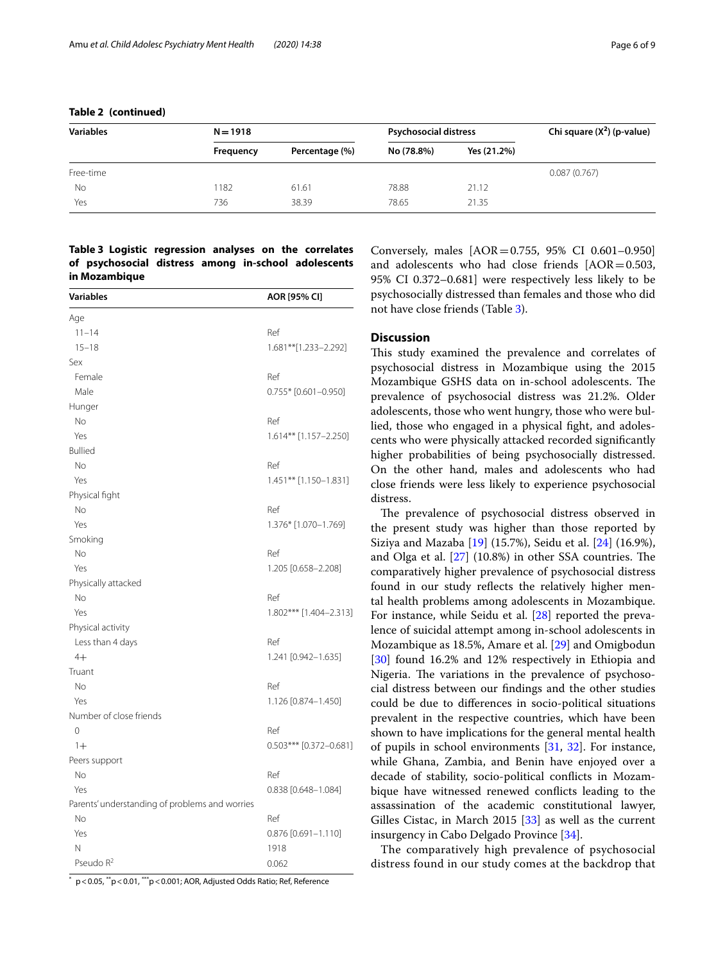| <b>Variables</b> | $N = 1918$ |                |            | <b>Psychosocial distress</b> | Chi square $(X^2)$ (p-value) |
|------------------|------------|----------------|------------|------------------------------|------------------------------|
|                  | Frequency  | Percentage (%) | No (78.8%) | Yes (21.2%)                  |                              |
| Free-time        |            |                |            |                              | 0.087(0.767)                 |
| No               | 182        | 61.61          | 78.88      | 21.12                        |                              |
| Yes              | 736        | 38.39          | 78.65      | 21.35                        |                              |

# **Table 2 (continued)**

# <span id="page-5-0"></span>**Table 3 Logistic regression analyses on the correlates of psychosocial distress among in-school adolescents in Mozambique**

| <b>Variables</b>                               | AOR [95% CI]             |  |  |
|------------------------------------------------|--------------------------|--|--|
| Age                                            |                          |  |  |
| $11 - 14$                                      | Ref                      |  |  |
| $15 - 18$                                      | 1.681**[1.233-2.292]     |  |  |
| Sex                                            |                          |  |  |
| Female                                         | Ref                      |  |  |
| Male                                           | $0.755*$ [0.601-0.950]   |  |  |
| Hunger                                         |                          |  |  |
| <b>No</b>                                      | Ref                      |  |  |
| Yes                                            | 1.614** [1.157-2.250]    |  |  |
| <b>Bullied</b>                                 |                          |  |  |
| No                                             | Ref                      |  |  |
| Yes                                            | $1.451**$ [1.150-1.831]  |  |  |
| Physical fight                                 |                          |  |  |
| No                                             | Ref                      |  |  |
| Yes                                            | 1.376* [1.070-1.769]     |  |  |
| Smoking                                        |                          |  |  |
| No                                             | Ref                      |  |  |
| Yes                                            | 1.205 [0.658-2.208]      |  |  |
| Physically attacked                            |                          |  |  |
| No                                             | Ref                      |  |  |
| Yes                                            | 1.802*** [1.404-2.313]   |  |  |
| Physical activity                              |                          |  |  |
| Less than 4 days                               | Ref                      |  |  |
| $4+$                                           | 1.241 [0.942-1.635]      |  |  |
| Truant                                         |                          |  |  |
| No                                             | Ref                      |  |  |
| Yes                                            | 1.126 [0.874-1.450]      |  |  |
| Number of close friends                        |                          |  |  |
| 0                                              | Ref                      |  |  |
| $1+$                                           | $0.503***$ [0.372-0.681] |  |  |
| Peers support                                  |                          |  |  |
| <b>No</b>                                      | Ref                      |  |  |
| Yes                                            | 0.838 [0.648-1.084]      |  |  |
| Parents' understanding of problems and worries |                          |  |  |
| No                                             | Ref                      |  |  |
| Yes                                            | 0.876 [0.691-1.110]      |  |  |
| N                                              | 1918                     |  |  |
| Pseudo R <sup>2</sup>                          | 0.062                    |  |  |

 $*$  p < 0.05,  $*$ p < 0.01,  $**$ p < 0.001; AOR, Adjusted Odds Ratio; Ref, Reference

Conversely, males [AOR=0.755, 95% CI 0.601–0.950] and adolescents who had close friends  $[AOR = 0.503,$ 95% CI 0.372–0.681] were respectively less likely to be psychosocially distressed than females and those who did not have close friends (Table [3](#page-5-0)).

# **Discussion**

This study examined the prevalence and correlates of psychosocial distress in Mozambique using the 2015 Mozambique GSHS data on in-school adolescents. The prevalence of psychosocial distress was 21.2%. Older adolescents, those who went hungry, those who were bullied, those who engaged in a physical fght, and adolescents who were physically attacked recorded signifcantly higher probabilities of being psychosocially distressed. On the other hand, males and adolescents who had close friends were less likely to experience psychosocial distress.

The prevalence of psychosocial distress observed in the present study was higher than those reported by Siziya and Mazaba [[19\]](#page-7-17) (15.7%), Seidu et al. [\[24](#page-7-20)] (16.9%), and Olga et al.  $[27]$  $[27]$  $[27]$  (10.8%) in other SSA countries. The comparatively higher prevalence of psychosocial distress found in our study refects the relatively higher mental health problems among adolescents in Mozambique. For instance, while Seidu et al. [\[28](#page-7-25)] reported the prevalence of suicidal attempt among in-school adolescents in Mozambique as 18.5%, Amare et al. [[29\]](#page-7-26) and Omigbodun [[30\]](#page-7-27) found 16.2% and 12% respectively in Ethiopia and Nigeria. The variations in the prevalence of psychosocial distress between our fndings and the other studies could be due to diferences in socio-political situations prevalent in the respective countries, which have been shown to have implications for the general mental health of pupils in school environments [\[31](#page-7-28), [32\]](#page-7-29). For instance, while Ghana, Zambia, and Benin have enjoyed over a decade of stability, socio-political conficts in Mozambique have witnessed renewed conficts leading to the assassination of the academic constitutional lawyer, Gilles Cistac, in March 2015 [\[33](#page-7-30)] as well as the current insurgency in Cabo Delgado Province [[34\]](#page-7-31).

The comparatively high prevalence of psychosocial distress found in our study comes at the backdrop that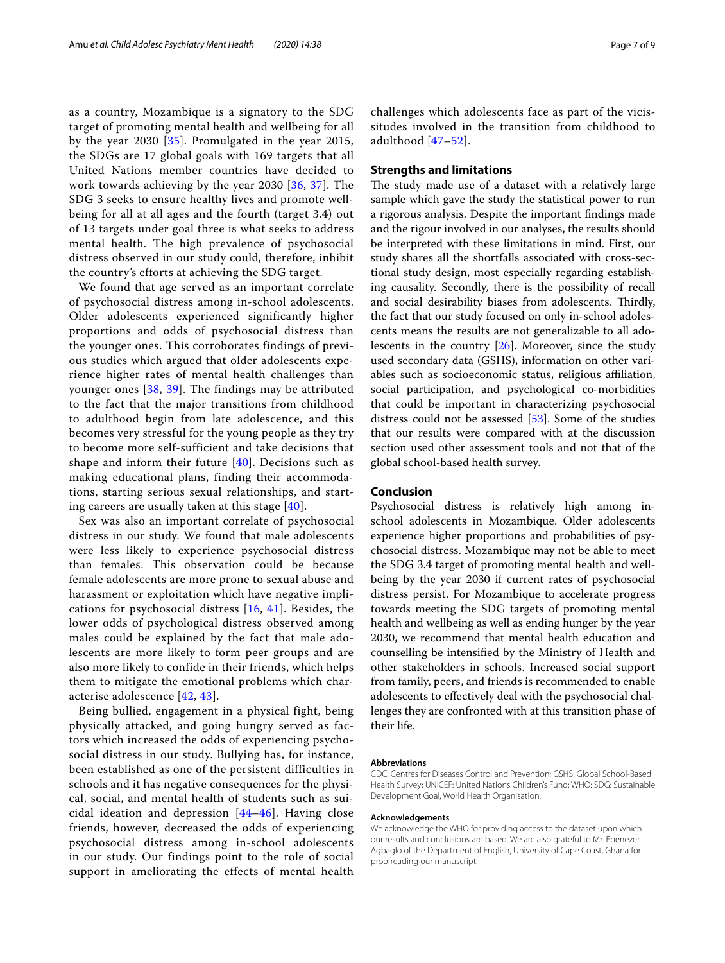as a country, Mozambique is a signatory to the SDG target of promoting mental health and wellbeing for all by the year 2030 [[35\]](#page-7-32). Promulgated in the year 2015, the SDGs are 17 global goals with 169 targets that all United Nations member countries have decided to work towards achieving by the year 2030 [\[36](#page-8-0), [37](#page-8-1)]. The SDG 3 seeks to ensure healthy lives and promote wellbeing for all at all ages and the fourth (target 3.4) out of 13 targets under goal three is what seeks to address mental health. The high prevalence of psychosocial distress observed in our study could, therefore, inhibit the country's efforts at achieving the SDG target.

We found that age served as an important correlate of psychosocial distress among in-school adolescents. Older adolescents experienced significantly higher proportions and odds of psychosocial distress than the younger ones. This corroborates findings of previous studies which argued that older adolescents experience higher rates of mental health challenges than younger ones [[38](#page-8-2), [39\]](#page-8-3). The findings may be attributed to the fact that the major transitions from childhood to adulthood begin from late adolescence, and this becomes very stressful for the young people as they try to become more self-sufficient and take decisions that shape and inform their future  $[40]$  $[40]$  $[40]$ . Decisions such as making educational plans, finding their accommodations, starting serious sexual relationships, and starting careers are usually taken at this stage  $[40]$ .

Sex was also an important correlate of psychosocial distress in our study. We found that male adolescents were less likely to experience psychosocial distress than females. This observation could be because female adolescents are more prone to sexual abuse and harassment or exploitation which have negative implications for psychosocial distress [\[16,](#page-7-14) [41\]](#page-8-5). Besides, the lower odds of psychological distress observed among males could be explained by the fact that male adolescents are more likely to form peer groups and are also more likely to confide in their friends, which helps them to mitigate the emotional problems which characterise adolescence [[42](#page-8-6), [43\]](#page-8-7).

Being bullied, engagement in a physical fight, being physically attacked, and going hungry served as factors which increased the odds of experiencing psychosocial distress in our study. Bullying has, for instance, been established as one of the persistent difficulties in schools and it has negative consequences for the physical, social, and mental health of students such as suicidal ideation and depression  $[44-46]$  $[44-46]$  $[44-46]$ . Having close friends, however, decreased the odds of experiencing psychosocial distress among in-school adolescents in our study. Our findings point to the role of social support in ameliorating the effects of mental health challenges which adolescents face as part of the vicissitudes involved in the transition from childhood to adulthood [\[47–](#page-8-10)[52](#page-8-11)].

# **Strengths and limitations**

The study made use of a dataset with a relatively large sample which gave the study the statistical power to run a rigorous analysis. Despite the important fndings made and the rigour involved in our analyses, the results should be interpreted with these limitations in mind. First, our study shares all the shortfalls associated with cross-sectional study design, most especially regarding establishing causality. Secondly, there is the possibility of recall and social desirability biases from adolescents. Thirdly, the fact that our study focused on only in-school adolescents means the results are not generalizable to all adolescents in the country [\[26](#page-7-23)]. Moreover, since the study used secondary data (GSHS), information on other variables such as socioeconomic status, religious afliation, social participation, and psychological co-morbidities that could be important in characterizing psychosocial distress could not be assessed [[53\]](#page-8-12). Some of the studies that our results were compared with at the discussion section used other assessment tools and not that of the global school-based health survey.

## **Conclusion**

Psychosocial distress is relatively high among inschool adolescents in Mozambique. Older adolescents experience higher proportions and probabilities of psychosocial distress. Mozambique may not be able to meet the SDG 3.4 target of promoting mental health and wellbeing by the year 2030 if current rates of psychosocial distress persist. For Mozambique to accelerate progress towards meeting the SDG targets of promoting mental health and wellbeing as well as ending hunger by the year 2030, we recommend that mental health education and counselling be intensifed by the Ministry of Health and other stakeholders in schools. Increased social support from family, peers, and friends is recommended to enable adolescents to efectively deal with the psychosocial challenges they are confronted with at this transition phase of their life.

#### **Abbreviations**

CDC: Centres for Diseases Control and Prevention; GSHS: Global School-Based Health Survey; UNICEF: United Nations Children's Fund; WHO: SDG: Sustainable Development Goal, World Health Organisation.

#### **Acknowledgements**

We acknowledge the WHO for providing access to the dataset upon which our results and conclusions are based. We are also grateful to Mr. Ebenezer Agbaglo of the Department of English, University of Cape Coast, Ghana for proofreading our manuscript.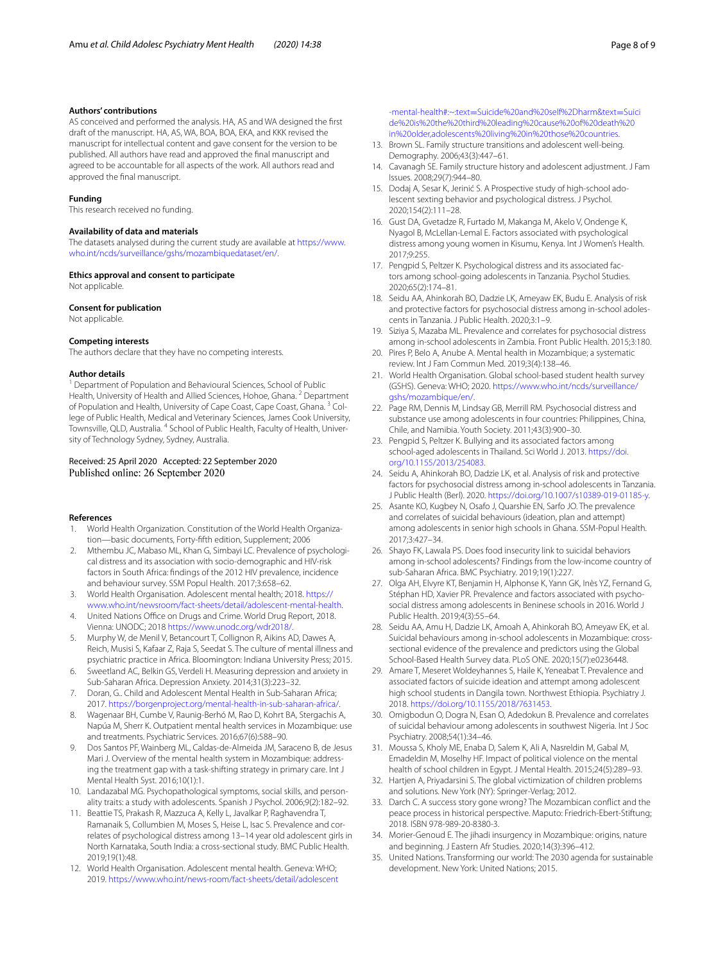#### **Authors' contributions**

AS conceived and performed the analysis. HA, AS and WA designed the frst draft of the manuscript. HA, AS, WA, BOA, BOA, EKA, and KKK revised the manuscript for intellectual content and gave consent for the version to be published. All authors have read and approved the fnal manuscript and agreed to be accountable for all aspects of the work. All authors read and approved the fnal manuscript.

#### **Funding**

This research received no funding.

## **Availability of data and materials**

The datasets analysed during the current study are available at [https://www.](https://www.who.int/ncds/surveillance/gshs/mozambiquedataset/en/) [who.int/ncds/surveillance/gshs/mozambiquedataset/en/.](https://www.who.int/ncds/surveillance/gshs/mozambiquedataset/en/)

#### **Ethics approval and consent to participate**

Not applicable.

#### **Consent for publication**

Not applicable.

## **Competing interests**

The authors declare that they have no competing interests.

#### **Author details**

<sup>1</sup> Department of Population and Behavioural Sciences, School of Public Health, University of Health and Allied Sciences, Hohoe, Ghana.<sup>2</sup> Department of Population and Health, University of Cape Coast, Cape Coast, Ghana.<sup>3</sup> College of Public Health, Medical and Veterinary Sciences, James Cook University, Townsville, QLD, Australia. <sup>4</sup> School of Public Health, Faculty of Health, University of Technology Sydney, Sydney, Australia.

#### Received: 25 April 2020 Accepted: 22 September 2020 Published online: 26 September 2020

#### **References**

- <span id="page-7-0"></span>1. World Health Organization. Constitution of the World Health Organization—basic documents, Forty-ffth edition, Supplement; 2006
- <span id="page-7-1"></span>2. Mthembu JC, Mabaso ML, Khan G, Simbayi LC. Prevalence of psychological distress and its association with socio-demographic and HIV-risk factors in South Africa: fndings of the 2012 HIV prevalence, incidence and behaviour survey. SSM Popul Health. 2017;3:658–62.
- <span id="page-7-2"></span>3. World Health Organisation. Adolescent mental health; 2018. [https://](https://www.who.int/newsroom/fact-sheets/detail/adolescent-mental-health) [www.who.int/newsroom/fact-sheets/detail/adolescent-mental-health.](https://www.who.int/newsroom/fact-sheets/detail/adolescent-mental-health)
- <span id="page-7-3"></span>4. United Nations Office on Drugs and Crime. World Drug Report, 2018. Vienna: UNODC; 2018 [https://www.unodc.org/wdr2018/.](https://www.unodc.org/wdr2018/)
- <span id="page-7-4"></span>5. Murphy W, de Menil V, Betancourt T, Collignon R, Aikins AD, Dawes A, Reich, Musisi S, Kafaar Z, Raja S, Seedat S. The culture of mental illness and psychiatric practice in Africa. Bloomington: Indiana University Press; 2015.
- <span id="page-7-5"></span>6. Sweetland AC, Belkin GS, Verdeli H. Measuring depression and anxiety in Sub-Saharan Africa. Depression Anxiety. 2014;31(3):223–32.
- <span id="page-7-6"></span>7. Doran, G.. Child and Adolescent Mental Health in Sub-Saharan Africa; 2017. [https://borgenproject.org/mental-health-in-sub-saharan-africa/.](https://borgenproject.org/mental-health-in-sub-saharan-africa/)
- <span id="page-7-7"></span>8. Wagenaar BH, Cumbe V, Raunig-Berhó M, Rao D, Kohrt BA, Stergachis A, Napúa M, Sherr K. Outpatient mental health services in Mozambique: use and treatments. Psychiatric Services. 2016;67(6):588–90.
- <span id="page-7-8"></span>9. Dos Santos PF, Wainberg ML, Caldas-de-Almeida JM, Saraceno B, de Jesus Mari J. Overview of the mental health system in Mozambique: addressing the treatment gap with a task-shifting strategy in primary care. Int J Mental Health Syst. 2016;10(1):1.
- <span id="page-7-9"></span>10. Landazabal MG. Psychopathological symptoms, social skills, and personality traits: a study with adolescents. Spanish J Psychol. 2006;9(2):182–92.
- <span id="page-7-10"></span>11. Beattie TS, Prakash R, Mazzuca A, Kelly L, Javalkar P, Raghavendra T, Ramanaik S, Collumbien M, Moses S, Heise L, Isac S. Prevalence and correlates of psychological distress among 13–14 year old adolescent girls in North Karnataka, South India: a cross-sectional study. BMC Public Health. 2019;19(1):48.
- <span id="page-7-11"></span>12. World Health Organisation. Adolescent mental health. Geneva: WHO; 2019. [https://www.who.int/news-room/fact-sheets/detail/adolescent](https://www.who.int/news-room/fact-sheets/detail/adolescent-mental-health#:%7e:text%3dSuicide%20and%20self%252Dharm%26text%3dSuicide%20is%20the%20third%20leading%20cause%20of%20death%20in%20older%2cadolescents%20living%20in%20those%20countries)

-mental-health#:~:text=[Suicide%20and%20self%2Dharm&text](https://www.who.int/news-room/fact-sheets/detail/adolescent-mental-health#:%7e:text%3dSuicide%20and%20self%252Dharm%26text%3dSuicide%20is%20the%20third%20leading%20cause%20of%20death%20in%20older%2cadolescents%20living%20in%20those%20countries)=Suici [de%20is%20the%20third%20leading%20cause%20of%20death%20](https://www.who.int/news-room/fact-sheets/detail/adolescent-mental-health#:%7e:text%3dSuicide%20and%20self%252Dharm%26text%3dSuicide%20is%20the%20third%20leading%20cause%20of%20death%20in%20older%2cadolescents%20living%20in%20those%20countries) [in%20older,adolescents%20living%20in%20those%20countries](https://www.who.int/news-room/fact-sheets/detail/adolescent-mental-health#:%7e:text%3dSuicide%20and%20self%252Dharm%26text%3dSuicide%20is%20the%20third%20leading%20cause%20of%20death%20in%20older%2cadolescents%20living%20in%20those%20countries).

- <span id="page-7-12"></span>13. Brown SL. Family structure transitions and adolescent well-being. Demography. 2006;43(3):447–61.
- 14. Cavanagh SE. Family structure history and adolescent adjustment. J Fam Issues. 2008;29(7):944–80.
- <span id="page-7-13"></span>15. Dodaj A, Sesar K, Jerinić S. A Prospective study of high-school adolescent sexting behavior and psychological distress. J Psychol. 2020;154(2):111–28.
- <span id="page-7-14"></span>16. Gust DA, Gvetadze R, Furtado M, Makanga M, Akelo V, Ondenge K, Nyagol B, McLellan-Lemal E. Factors associated with psychological distress among young women in Kisumu, Kenya. Int J Women's Health. 2017;9:255.
- <span id="page-7-15"></span>17. Pengpid S, Peltzer K. Psychological distress and its associated factors among school-going adolescents in Tanzania. Psychol Studies. 2020;65(2):174–81.
- <span id="page-7-16"></span>18. Seidu AA, Ahinkorah BO, Dadzie LK, Ameyaw EK, Budu E. Analysis of risk and protective factors for psychosocial distress among in-school adolescents in Tanzania. J Public Health. 2020;3:1–9.
- <span id="page-7-17"></span>19. Siziya S, Mazaba ML. Prevalence and correlates for psychosocial distress among in-school adolescents in Zambia. Front Public Health. 2015;3:180.
- <span id="page-7-18"></span>20. Pires P, Belo A, Anube A. Mental health in Mozambique; a systematic review. Int J Fam Commun Med. 2019;3(4):138–46.
- <span id="page-7-19"></span>21. World Health Organisation. Global school-based student health survey (GSHS). Geneva: WHO; 2020. [https://www.who.int/ncds/surveillance/](https://www.who.int/ncds/surveillance/gshs/mozambique/en/) [gshs/mozambique/en/](https://www.who.int/ncds/surveillance/gshs/mozambique/en/).
- 22. Page RM, Dennis M, Lindsay GB, Merrill RM. Psychosocial distress and substance use among adolescents in four countries: Philippines, China, Chile, and Namibia. Youth Society. 2011;43(3):900–30.
- <span id="page-7-21"></span>23. Pengpid S, Peltzer K. Bullying and its associated factors among school-aged adolescents in Thailand. Sci World J. 2013. [https://doi.](https://doi.org/10.1155/2013/254083) [org/10.1155/2013/254083.](https://doi.org/10.1155/2013/254083)
- <span id="page-7-20"></span>24. Seidu A, Ahinkorah BO, Dadzie LK, et al. Analysis of risk and protective factors for psychosocial distress among in-school adolescents in Tanzania. J Public Health (Berl). 2020. [https://doi.org/10.1007/s10389-019-01185-y.](https://doi.org/10.1007/s10389-019-01185-y)
- <span id="page-7-22"></span>25. Asante KO, Kugbey N, Osafo J, Quarshie EN, Sarfo JO. The prevalence and correlates of suicidal behaviours (ideation, plan and attempt) among adolescents in senior high schools in Ghana. SSM-Popul Health. 2017;3:427–34.
- <span id="page-7-23"></span>26. Shayo FK, Lawala PS. Does food insecurity link to suicidal behaviors among in-school adolescents? Findings from the low-income country of sub-Saharan Africa. BMC Psychiatry. 2019;19(1):227.
- <span id="page-7-24"></span>27. Olga AH, Elvyre KT, Benjamin H, Alphonse K, Yann GK, Inès YZ, Fernand G, Stéphan HD, Xavier PR. Prevalence and factors associated with psychosocial distress among adolescents in Beninese schools in 2016. World J Public Health. 2019;4(3):55–64.
- <span id="page-7-25"></span>28. Seidu AA, Amu H, Dadzie LK, Amoah A, Ahinkorah BO, Ameyaw EK, et al. Suicidal behaviours among in-school adolescents in Mozambique: crosssectional evidence of the prevalence and predictors using the Global School-Based Health Survey data. PLoS ONE. 2020;15(7):e0236448.
- <span id="page-7-26"></span>29. Amare T, Meseret Woldeyhannes S, Haile K, Yeneabat T. Prevalence and associated factors of suicide ideation and attempt among adolescent high school students in Dangila town. Northwest Ethiopia. Psychiatry J. 2018.<https://doi.org/10.1155/2018/7631453>.
- <span id="page-7-27"></span>30. Omigbodun O, Dogra N, Esan O, Adedokun B. Prevalence and correlates of suicidal behaviour among adolescents in southwest Nigeria. Int J Soc Psychiatry. 2008;54(1):34–46.
- <span id="page-7-28"></span>31. Moussa S, Kholy ME, Enaba D, Salem K, Ali A, Nasreldin M, Gabal M, Emadeldin M, Moselhy HF. Impact of political violence on the mental health of school children in Egypt. J Mental Health. 2015;24(5):289–93.
- <span id="page-7-29"></span>32. Hartjen A, Priyadarsini S. The global victimization of children problems and solutions. New York (NY): Springer-Verlag; 2012.
- <span id="page-7-30"></span>33. Darch C. A success story gone wrong? The Mozambican confict and the peace process in historical perspective. Maputo: Friedrich-Ebert-Stiftung; 2018. ISBN 978-989-20-8380-3.
- <span id="page-7-31"></span>34. Morier-Genoud E. The jihadi insurgency in Mozambique: origins, nature and beginning. J Eastern Afr Studies. 2020;14(3):396–412.
- <span id="page-7-32"></span>35. United Nations. Transforming our world: The 2030 agenda for sustainable development. New York: United Nations; 2015.